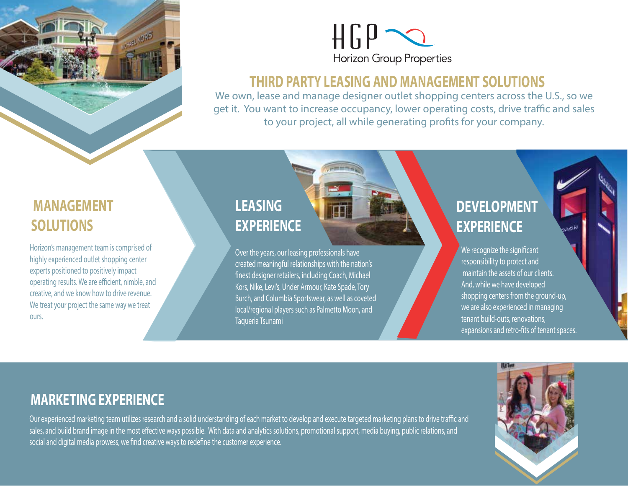



#### **THIRD PARTY LEASING AND MANAGEMENT SOLUTIONS**

We own, lease and manage designer outlet shopping centers across the U.S., so we get it. You want to increase occupancy, lower operating costs, drive traffic and sales to your project, all while generating profits for your company.

### **MANAGEMENT SOLUTIONS**

Horizon's management team is comprised of highly experienced outlet shopping center experts positioned to positively impact operating results. We are efficient, nimble, and creative, and we know how to drive revenue. We treat your project the same way we treat ours.

## **LEASING EXPERIENCE**

Over the years, our leasing professionals have created meaningful relationships with the nation's nest designer retailers, including Coach, Michael Kors, Nike, Levi's, Under Armour, Kate Spade, Tory Burch, and Columbia Sportswear, as well as coveted local/regional players such as Palmetto Moon, and Taqueria Tsunami

# **DEVELOPMENT EXPERIENCE**

We recognize the significant responsibility to protect and maintain the assets of our clients. And, while we have developed shopping centers from the ground-up, we are also experienced in managing tenant build-outs, renovations, expansions and retro-fits of tenant spaces.

### **MARKETING EXPERIENCE**

Our experienced marketing team utilizes research and a solid understanding of each market to develop and execute targeted marketing plans to drive traffic and sales, and build brand image in the most effective ways possible. With data and analytics solutions, promotional support, media buying, public relations, and social and digital media prowess, we find creative ways to redefine the customer experience.